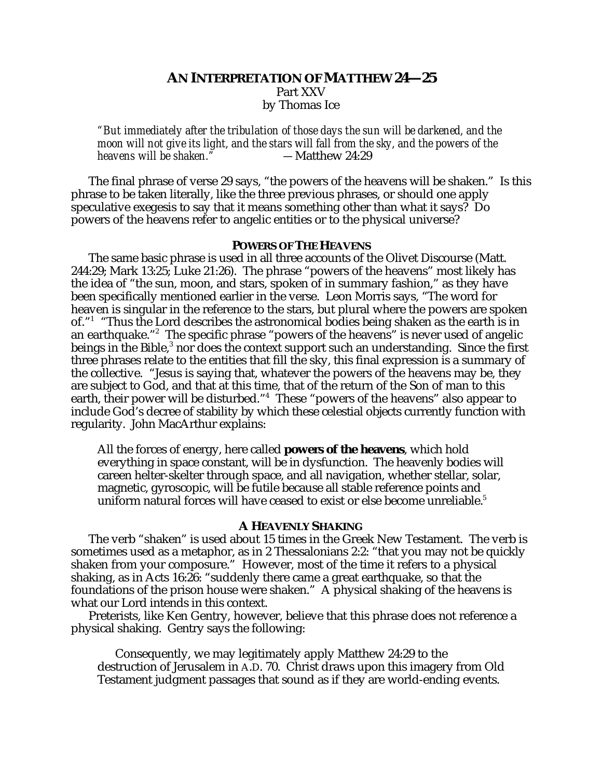# **AN INTERPRETATION OF MATTHEW 24—25** Part XXV by Thomas Ice

*"But immediately after the tribulation of those days the sun will be darkened, and the moon will not give its light, and the stars will fall from the sky, and the powers of the heavens will be shaken.* 

The final phrase of verse 29 says, "the powers of the heavens will be shaken." Is this phrase to be taken literally, like the three previous phrases, or should one apply speculative exegesis to say that it means something other than what it says? Do powers of the heavens refer to angelic entities or to the physical universe?

### **POWERS OF THE HEAVENS**

The same basic phrase is used in all three accounts of the Olivet Discourse (Matt. 244:29; Mark 13:25; Luke 21:26). The phrase "powers of the heavens" most likely has the idea of "the sun, moon, and stars, spoken of in summary fashion," as they have been specifically mentioned earlier in the verse. Leon Morris says, "The word for heaven is singular in the reference to the stars, but plural where the powers are spoken of."1 "Thus the Lord describes the astronomical bodies being shaken as the earth is in an earthquake."2 The specific phrase "powers of the heavens" is never used of angelic beings in the Bible,<sup>3</sup> nor does the context support such an understanding. Since the first three phrases relate to the entities that fill the sky, this final expression is a summary of the collective. "Jesus is saying that, whatever the powers of the heavens may be, they are subject to God, and that at this time, that of the return of the Son of man to this earth, their power will be disturbed."4 These "powers of the heavens" also appear to include God's decree of stability by which these celestial objects currently function with regularity. John MacArthur explains:

All the forces of energy, here called **powers of the heavens**, which hold everything in space constant, will be in dysfunction. The heavenly bodies will careen helter-skelter through space, and all navigation, whether stellar, solar, magnetic, gyroscopic, will be futile because all stable reference points and uniform natural forces will have ceased to exist or else become unreliable.<sup>5</sup>

#### **A HEAVENLY SHAKING**

The verb "shaken" is used about 15 times in the Greek New Testament. The verb is sometimes used as a metaphor, as in 2 Thessalonians 2:2: "that you may not be quickly shaken from your composure." However, most of the time it refers to a physical shaking, as in Acts 16:26: "suddenly there came a great earthquake, so that the foundations of the prison house were shaken." A physical shaking of the heavens is what our Lord intends in this context.

Preterists, like Ken Gentry, however, believe that this phrase does not reference a physical shaking. Gentry says the following:

Consequently, we may legitimately apply Matthew 24:29 to the destruction of Jerusalem in A.D. 70. Christ draws upon this imagery from Old Testament judgment passages that sound as if they are world-ending events.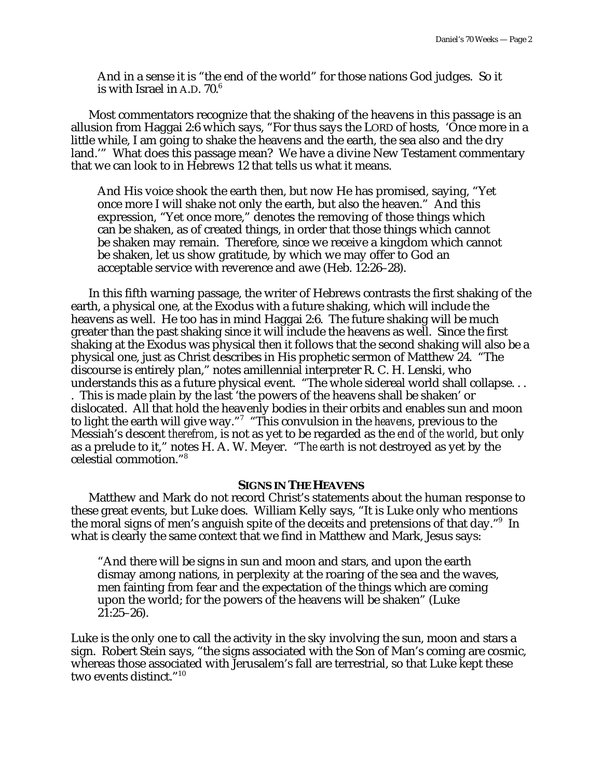And in a sense it is "the end of the world" for those nations God judges. So it is with Israel in A.D.  $70<sup>6</sup>$ 

Most commentators recognize that the shaking of the heavens in this passage is an allusion from Haggai 2:6 which says, "For thus says the LORD of hosts, 'Once more in a little while, I am going to shake the heavens and the earth, the sea also and the dry land.'" What does this passage mean? We have a divine New Testament commentary that we can look to in Hebrews 12 that tells us what it means.

And His voice shook the earth then, but now He has promised, saying, "Yet once more I will shake not only the earth, but also the heaven." And this expression, "Yet once more," denotes the removing of those things which can be shaken, as of created things, in order that those things which cannot be shaken may remain. Therefore, since we receive a kingdom which cannot be shaken, let us show gratitude, by which we may offer to God an acceptable service with reverence and awe (Heb. 12:26–28).

In this fifth warning passage, the writer of Hebrews contrasts the first shaking of the earth, a physical one, at the Exodus with a future shaking, which will include the heavens as well. He too has in mind Haggai 2:6. The future shaking will be much greater than the past shaking since it will include the heavens as well. Since the first shaking at the Exodus was physical then it follows that the second shaking will also be a physical one, just as Christ describes in His prophetic sermon of Matthew 24. "The discourse is entirely plan," notes amillennial interpreter R. C. H. Lenski, who understands this as a future physical event. "The whole sidereal world shall collapse. . . . This is made plain by the last 'the powers of the heavens shall be shaken' or dislocated. All that hold the heavenly bodies in their orbits and enables sun and moon to light the earth will give way."7 "This convulsion in the *heavens*, previous to the Messiah's descent *therefrom*, is not as yet to be regarded as the *end of the world*, but only as a prelude to it," notes H. A. W. Meyer. "*The earth* is not destroyed as yet by the celestial commotion."8

### **SIGNS IN THE HEAVENS**

Matthew and Mark do not record Christ's statements about the human response to these great events, but Luke does. William Kelly says, "It is Luke only who mentions the moral signs of men's anguish spite of the deceits and pretensions of that day."<sup>9</sup> In what is clearly the same context that we find in Matthew and Mark, Jesus says:

"And there will be signs in sun and moon and stars, and upon the earth dismay among nations, in perplexity at the roaring of the sea and the waves, men fainting from fear and the expectation of the things which are coming upon the world; for the powers of the heavens will be shaken" (Luke 21:25–26).

Luke is the only one to call the activity in the sky involving the sun, moon and stars a sign. Robert Stein says, "the signs associated with the Son of Man's coming are cosmic, whereas those associated with Jerusalem's fall are terrestrial, so that Luke kept these two events distinct."10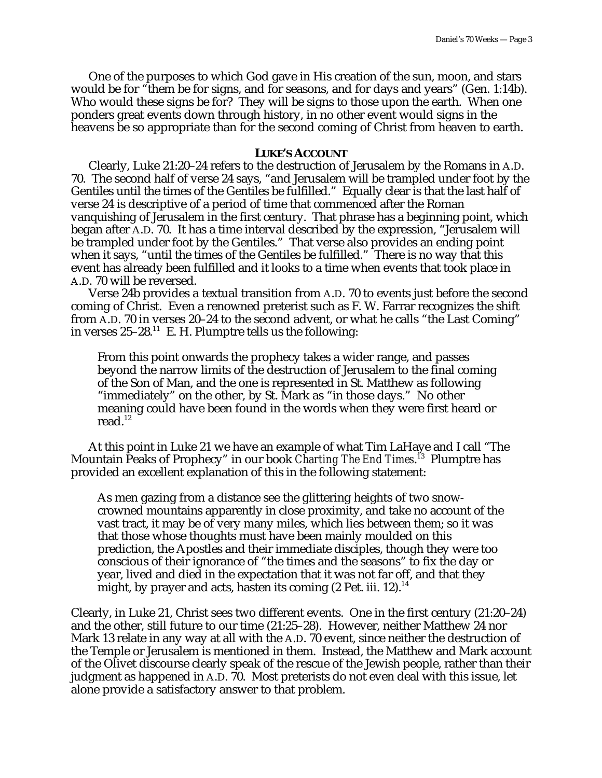One of the purposes to which God gave in His creation of the sun, moon, and stars would be for "them be for signs, and for seasons, and for days and years" (Gen. 1:14b). Who would these signs be for? They will be signs to those upon the earth. When one ponders great events down through history, in no other event would signs in the heavens be so appropriate than for the second coming of Christ from heaven to earth.

## **LUKE'S ACCOUNT**

Clearly, Luke 21:20–24 refers to the destruction of Jerusalem by the Romans in A.D. 70. The second half of verse 24 says, "and Jerusalem will be trampled under foot by the Gentiles until the times of the Gentiles be fulfilled." Equally clear is that the last half of verse 24 is descriptive of a period of time that commenced after the Roman vanquishing of Jerusalem in the first century. That phrase has a beginning point, which began after A.D. 70. It has a time interval described by the expression, "Jerusalem will be trampled under foot by the Gentiles." That verse also provides an ending point when it says, "until the times of the Gentiles be fulfilled." There is no way that this event has already been fulfilled and it looks to a time when events that took place in A.D. 70 will be reversed.

Verse 24b provides a textual transition from A.D. 70 to events just before the second coming of Christ. Even a renowned preterist such as F. W. Farrar recognizes the shift from A.D. 70 in verses 20–24 to the second advent, or what he calls "the Last Coming" in verses  $25-28$ .<sup>11</sup> E. H. Plumptre tells us the following:

From this point onwards the prophecy takes a wider range, and passes beyond the narrow limits of the destruction of Jerusalem to the final coming of the Son of Man, and the one is represented in St. Matthew as following "immediately" on the other, by St. Mark as "in those days." No other meaning could have been found in the words when they were first heard or read.12

At this point in Luke 21 we have an example of what Tim LaHaye and I call "The Mountain Peaks of Prophecy" in our book *Charting The End Times*. 13 Plumptre has provided an excellent explanation of this in the following statement:

As men gazing from a distance see the glittering heights of two snowcrowned mountains apparently in close proximity, and take no account of the vast tract, it may be of very many miles, which lies between them; so it was that those whose thoughts must have been mainly moulded on this prediction, the Apostles and their immediate disciples, though they were too conscious of their ignorance of "the times and the seasons" to fix the day or year, lived and died in the expectation that it was not far off, and that they might, by prayer and acts, hasten its coming (2 Pet. iii. 12).<sup>14</sup>

Clearly, in Luke 21, Christ sees two different events. One in the first century (21:20–24) and the other, still future to our time (21:25–28). However, neither Matthew 24 nor Mark 13 relate in any way at all with the A.D. 70 event, since neither the destruction of the Temple or Jerusalem is mentioned in them. Instead, the Matthew and Mark account of the Olivet discourse clearly speak of the rescue of the Jewish people, rather than their judgment as happened in A.D. 70. Most preterists do not even deal with this issue, let alone provide a satisfactory answer to that problem.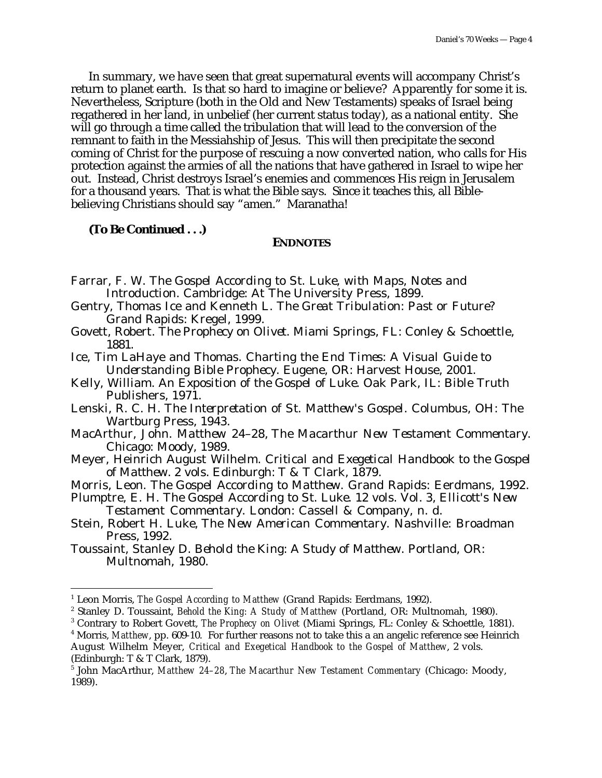In summary, we have seen that great supernatural events will accompany Christ's return to planet earth. Is that so hard to imagine or believe? Apparently for some it is. Nevertheless, Scripture (both in the Old and New Testaments) speaks of Israel being regathered in her land, in unbelief (her current status today), as a national entity. She will go through a time called the tribulation that will lead to the conversion of the remnant to faith in the Messiahship of Jesus. This will then precipitate the second coming of Christ for the purpose of rescuing a now converted nation, who calls for His protection against the armies of all the nations that have gathered in Israel to wipe her out. Instead, Christ destroys Israel's enemies and commences His reign in Jerusalem for a thousand years. That is what the Bible says. Since it teaches this, all Biblebelieving Christians should say "amen." Maranatha!

**(To Be Continued . . .)**

## **ENDNOTES**

- Farrar, F. W. *The Gospel According to St. Luke, with Maps, Notes and Introduction*. Cambridge: At The University Press, 1899.
- Gentry, Thomas Ice and Kenneth L. *The Great Tribulation: Past or Future?* Grand Rapids: Kregel, 1999.
- Govett, Robert. *The Prophecy on Olivet*. Miami Springs, FL: Conley & Schoettle, 1881.
- Ice, Tim LaHaye and Thomas. *Charting the End Times: A Visual Guide to Understanding Bible Prophecy*. Eugene, OR: Harvest House, 2001.
- Kelly, William. *An Exposition of the Gospel of Luke*. Oak Park, IL: Bible Truth Publishers, 1971.
- Lenski, R. C. H. *The Interpretation of St. Matthew's Gospel*. Columbus, OH: The Wartburg Press, 1943.
- MacArthur, John. *Matthew 24–28*, *The Macarthur New Testament Commentary*. Chicago: Moody, 1989.
- Meyer, Heinrich August Wilhelm. *Critical and Exegetical Handbook to the Gospel of Matthew*. 2 vols. Edinburgh: T & T Clark, 1879.
- Morris, Leon. *The Gospel According to Matthew*. Grand Rapids: Eerdmans, 1992.
- Plumptre, E. H. *The Gospel According to St. Luke*. 12 vols. Vol. 3, *Ellicott's New Testament Commentary*. London: Cassell & Company, n. d.
- Stein, Robert H. *Luke*, *The New American Commentary*. Nashville: Broadman Press, 1992.
- Toussaint, Stanley D. *Behold the King: A Study of Matthew*. Portland, OR: Multnomah, 1980.

3 Contrary to Robert Govett, *The Prophecy on Olivet* (Miami Springs, FL: Conley & Schoettle, 1881).

 $\overline{a}$ 

<sup>&</sup>lt;sup>1</sup> Leon Morris, *The Gospel According to Matthew* (Grand Rapids: Eerdmans, 1992).

<sup>2</sup> Stanley D. Toussaint, *Behold the King: A Study of Matthew* (Portland, OR: Multnomah, 1980).

<sup>4</sup> Morris, *Matthew*, pp. 609-10. For further reasons not to take this a an angelic reference see Heinrich August Wilhelm Meyer, *Critical and Exegetical Handbook to the Gospel of Matthew*, 2 vols.

<sup>(</sup>Edinburgh: T & T Clark, 1879).

<sup>5</sup> John MacArthur, *Matthew 24–28*, *The Macarthur New Testament Commentary* (Chicago: Moody, 1989).